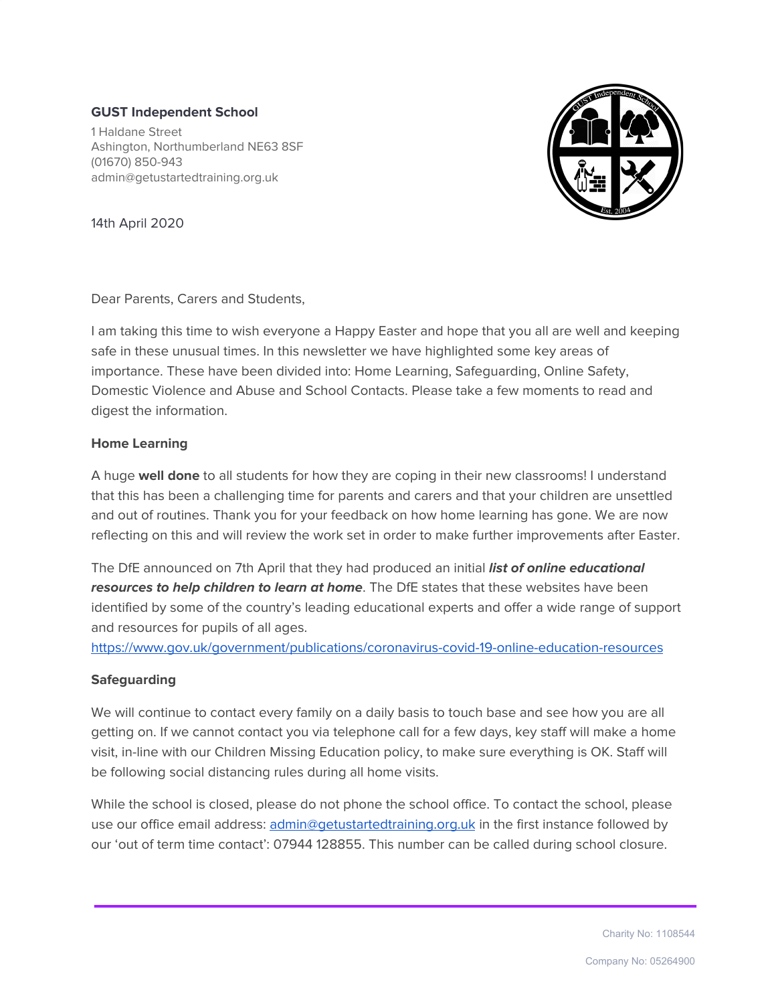# **GUST Independent School**

1 Haldane Street Ashington, Northumberland NE63 8SF (01670) 850-943 admin@getustartedtraining.org.uk



14th April 2020

Dear Parents, Carers and Students,

I am taking this time to wish everyone a Happy Easter and hope that you all are well and keeping safe in these unusual times. In this newsletter we have highlighted some key areas of importance. These have been divided into: Home Learning, Safeguarding, Online Safety, Domestic Violence and Abuse and School Contacts. Please take a few moments to read and digest the information.

## **Home Learning**

A huge **well done** to all students for how they are coping in their new classrooms! I understand that this has been a challenging time for parents and carers and that your children are unsettled and out of routines. Thank you for your feedback on how home learning has gone. We are now reflecting on this and will review the work set in order to make further improvements after Easter.

The DfE announced on 7th April that they had produced an initial **list of online educational resources to help children to learn at home**. The DfE states that these websites have been identified by some of the country's leading educational experts and offer a wide range of support and resources for pupils of all ages.

<https://www.gov.uk/government/publications/coronavirus-covid-19-online-education-resources>

## **Safeguarding**

We will continue to contact every family on a daily basis to touch base and see how you are all getting on. If we cannot contact you via telephone call for a few days, key staff will make a home visit, in-line with our Children Missing Education policy, to make sure everything is OK. Staff will be following social distancing rules during all home visits.

While the school is closed, please do not phone the school office. To contact the school, please use our office email address: [admin@getustartedtraining.org.uk](mailto:admin@getustartedtraining.org.uk) in the first instance followed by our 'out of term time contact': 07944 128855. This number can be called during school closure.

Charity No: 1108544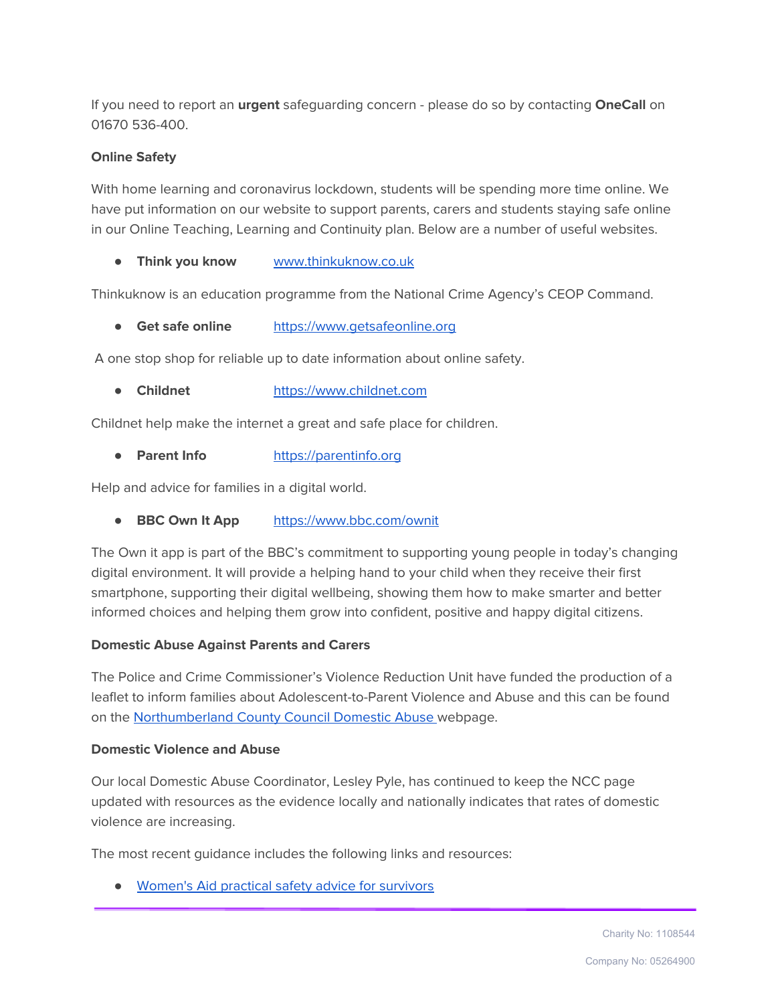If you need to report an **urgent** safeguarding concern - please do so by contacting **OneCall** on 01670 536-400.

## **Online Safety**

With home learning and coronavirus lockdown, students will be spending more time online. We have put information on our website to support parents, carers and students staying safe online in our Online Teaching, Learning and Continuity plan. Below are a number of useful websites.

● **Think you know** [www.thinkuknow.co.uk](http://www.thinkuknow.co.uk/)

Thinkuknow is an education programme from the National Crime Agency's CEOP Command.

● **Get safe online** [https://www.getsafeonline.org](https://www.getsafeonline.org/)

A one stop shop for reliable up to date information about online safety.

● **Childnet** [https://www.childnet.com](https://www.childnet.com/)

Childnet help make the internet a great and safe place for children.

● **Parent Info** [https://parentinfo.org](https://parentinfo.org/)

Help and advice for families in a digital world.

● **BBC Own It App** <https://www.bbc.com/ownit>

The Own it app is part of the BBC's commitment to supporting young people in today's changing digital environment. It will provide a helping hand to your child when they receive their first smartphone, supporting their digital wellbeing, showing them how to make smarter and better informed choices and helping them grow into confident, positive and happy digital citizens.

## **Domestic Abuse Against Parents and Carers**

The Police and Crime Commissioner's Violence Reduction Unit have funded the production of a leaflet to inform families about Adolescent-to-Parent Violence and Abuse and this can be found on the [Northumberland](https://www.northumberland.gov.uk/NorthumberlandCountyCouncil/media/Child-Families/Safeguarding/VRU-Child-to-Parent-Violence-CPV.pdf) County Council Domestic Abuse webpage.

#### **Domestic Violence and Abuse**

Our local Domestic Abuse Coordinator, Lesley Pyle, has continued to keep the NCC page updated with resources as the evidence locally and nationally indicates that rates of domestic violence are increasing.

The most recent guidance includes the following links and resources:

● [Women's](https://www.womensaid.org.uk/covid-19-coronavirus-safety-advice-for-survivors/) Aid practical safety advice for survivors